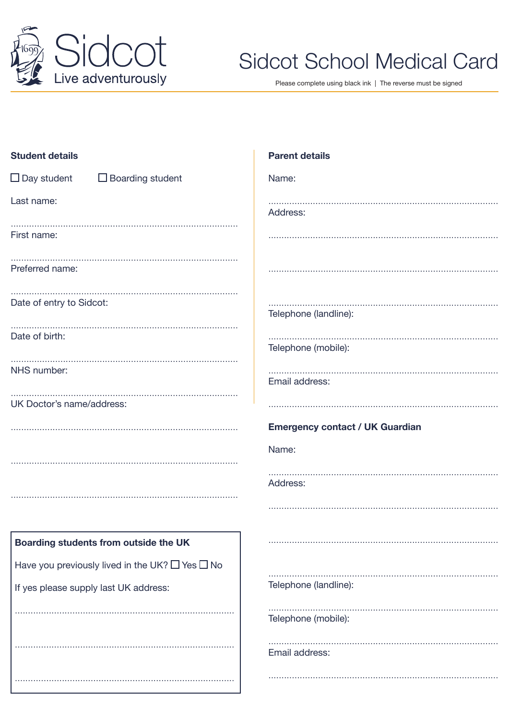

# **Sidcot School Medical Card**

Please complete using black ink | The reverse must be signed

| <b>Student details</b>                                    | <b>Parent details</b>                  |
|-----------------------------------------------------------|----------------------------------------|
| $\Box$ Day student<br>$\Box$ Boarding student             | Name:                                  |
| Last name:                                                | Address:                               |
| First name:                                               |                                        |
| Preferred name:                                           |                                        |
| Date of entry to Sidcot:                                  | Telephone (landline):                  |
| Date of birth:                                            | Telephone (mobile):                    |
| NHS number:                                               | Email address:                         |
| UK Doctor's name/address:                                 |                                        |
|                                                           |                                        |
|                                                           | <b>Emergency contact / UK Guardian</b> |
|                                                           | Name:                                  |
|                                                           | Address:                               |
|                                                           |                                        |
| Boarding students from outside the UK                     |                                        |
| Have you previously lived in the UK? $\Box$ Yes $\Box$ No |                                        |
| If yes please supply last UK address:                     | Telephone (landline):                  |
|                                                           | Telephone (mobile):                    |
|                                                           | Email address:                         |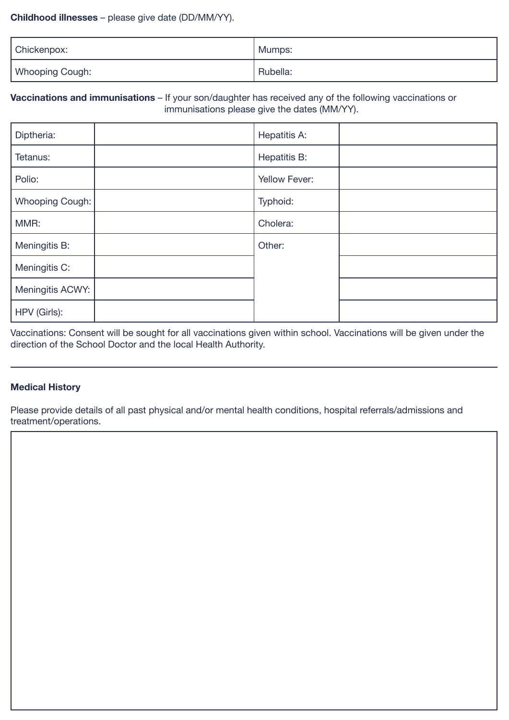#### **Childhood illnesses** – please give date (DD/MM/YY).

| Chickenpox:     | Mumps:   |
|-----------------|----------|
| Whooping Cough: | Rubella: |

## **Vaccinations and immunisations** – If your son/daughter has received any of the following vaccinations or immunisations please give the dates (MM/YY).

| Diptheria:       | Hepatitis A:  |
|------------------|---------------|
| Tetanus:         | Hepatitis B:  |
| Polio:           | Yellow Fever: |
| Whooping Cough:  | Typhoid:      |
| MMR:             | Cholera:      |
| Meningitis B:    | Other:        |
| Meningitis C:    |               |
| Meningitis ACWY: |               |
| HPV (Girls):     |               |

Vaccinations: Consent will be sought for all vaccinations given within school. Vaccinations will be given under the direction of the School Doctor and the local Health Authority.

## **Medical History**

Please provide details of all past physical and/or mental health conditions, hospital referrals/admissions and treatment/operations.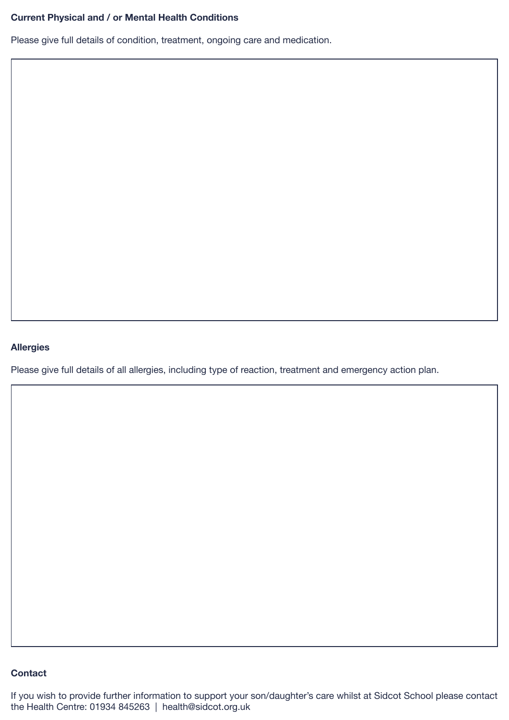# **Current Physical and / or Mental Health Conditions**

Please give full details of condition, treatment, ongoing care and medication.

#### **Allergies**

Please give full details of all allergies, including type of reaction, treatment and emergency action plan.

### **Contact**

If you wish to provide further information to support your son/daughter's care whilst at Sidcot School please contact the Health Centre: 01934 845263 | health@sidcot.org.uk